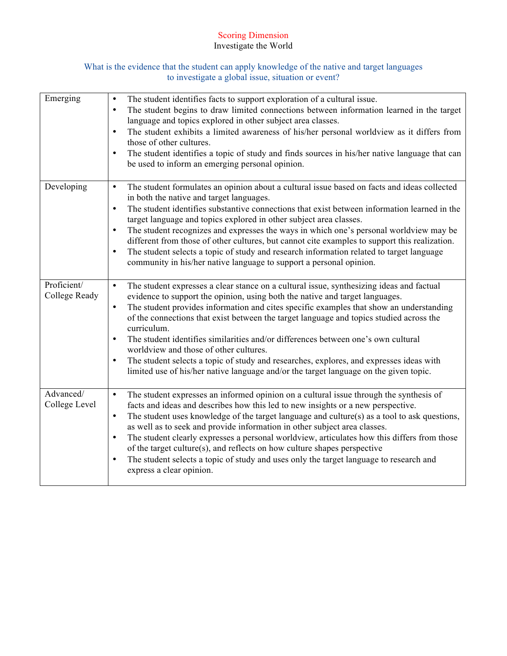# Scoring Dimension Investigate the World

### What is the evidence that the student can apply knowledge of the native and target languages to investigate a global issue, situation or event?

| Emerging                     | The student identifies facts to support exploration of a cultural issue.<br>$\bullet$<br>The student begins to draw limited connections between information learned in the target<br>$\bullet$<br>language and topics explored in other subject area classes.<br>The student exhibits a limited awareness of his/her personal worldview as it differs from<br>$\bullet$<br>those of other cultures.<br>The student identifies a topic of study and finds sources in his/her native language that can<br>$\bullet$<br>be used to inform an emerging personal opinion.                                                                                                                                                                                 |
|------------------------------|------------------------------------------------------------------------------------------------------------------------------------------------------------------------------------------------------------------------------------------------------------------------------------------------------------------------------------------------------------------------------------------------------------------------------------------------------------------------------------------------------------------------------------------------------------------------------------------------------------------------------------------------------------------------------------------------------------------------------------------------------|
| Developing                   | The student formulates an opinion about a cultural issue based on facts and ideas collected<br>$\bullet$<br>in both the native and target languages.<br>The student identifies substantive connections that exist between information learned in the<br>$\bullet$<br>target language and topics explored in other subject area classes.<br>The student recognizes and expresses the ways in which one's personal worldview may be<br>$\bullet$<br>different from those of other cultures, but cannot cite examples to support this realization.<br>The student selects a topic of study and research information related to target language<br>$\bullet$<br>community in his/her native language to support a personal opinion.                      |
| Proficient/<br>College Ready | The student expresses a clear stance on a cultural issue, synthesizing ideas and factual<br>$\bullet$<br>evidence to support the opinion, using both the native and target languages.<br>The student provides information and cites specific examples that show an understanding<br>$\bullet$<br>of the connections that exist between the target language and topics studied across the<br>curriculum.<br>The student identifies similarities and/or differences between one's own cultural<br>$\bullet$<br>worldview and those of other cultures.<br>The student selects a topic of study and researches, explores, and expresses ideas with<br>$\bullet$<br>limited use of his/her native language and/or the target language on the given topic. |
| Advanced/<br>College Level   | The student expresses an informed opinion on a cultural issue through the synthesis of<br>$\bullet$<br>facts and ideas and describes how this led to new insights or a new perspective.<br>The student uses knowledge of the target language and culture(s) as a tool to ask questions,<br>$\bullet$<br>as well as to seek and provide information in other subject area classes.<br>The student clearly expresses a personal worldview, articulates how this differs from those<br>$\bullet$<br>of the target culture(s), and reflects on how culture shapes perspective<br>The student selects a topic of study and uses only the target language to research and<br>$\bullet$<br>express a clear opinion.                                         |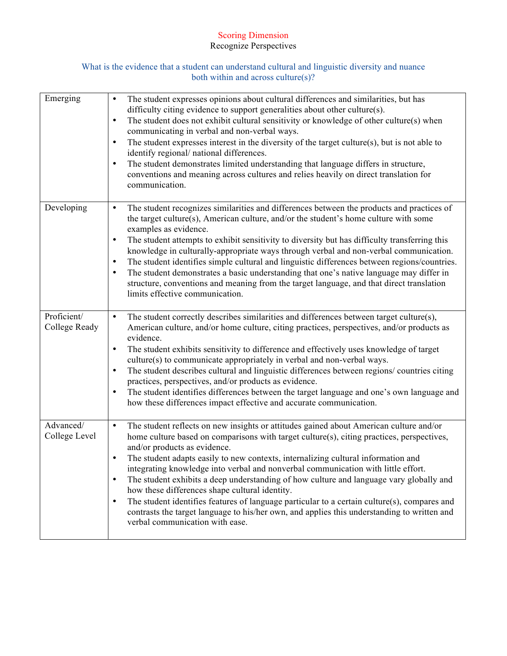# Scoring Dimension Recognize Perspectives

### What is the evidence that a student can understand cultural and linguistic diversity and nuance both within and across culture(s)?

| Emerging                     | The student expresses opinions about cultural differences and similarities, but has<br>$\bullet$<br>difficulty citing evidence to support generalities about other culture(s).<br>The student does not exhibit cultural sensitivity or knowledge of other culture(s) when<br>$\bullet$<br>communicating in verbal and non-verbal ways.<br>The student expresses interest in the diversity of the target culture(s), but is not able to<br>$\bullet$<br>identify regional/ national differences.<br>The student demonstrates limited understanding that language differs in structure,<br>$\bullet$<br>conventions and meaning across cultures and relies heavily on direct translation for<br>communication.                                                                                                                     |
|------------------------------|----------------------------------------------------------------------------------------------------------------------------------------------------------------------------------------------------------------------------------------------------------------------------------------------------------------------------------------------------------------------------------------------------------------------------------------------------------------------------------------------------------------------------------------------------------------------------------------------------------------------------------------------------------------------------------------------------------------------------------------------------------------------------------------------------------------------------------|
| Developing                   | The student recognizes similarities and differences between the products and practices of<br>$\bullet$<br>the target culture(s), American culture, and/or the student's home culture with some<br>examples as evidence.<br>The student attempts to exhibit sensitivity to diversity but has difficulty transferring this<br>٠<br>knowledge in culturally-appropriate ways through verbal and non-verbal communication.<br>The student identifies simple cultural and linguistic differences between regions/countries.<br>$\bullet$<br>The student demonstrates a basic understanding that one's native language may differ in<br>$\bullet$<br>structure, conventions and meaning from the target language, and that direct translation<br>limits effective communication.                                                       |
| Proficient/<br>College Ready | The student correctly describes similarities and differences between target culture(s),<br>$\bullet$<br>American culture, and/or home culture, citing practices, perspectives, and/or products as<br>evidence.<br>The student exhibits sensitivity to difference and effectively uses knowledge of target<br>$\bullet$<br>culture(s) to communicate appropriately in verbal and non-verbal ways.<br>The student describes cultural and linguistic differences between regions/countries citing<br>$\bullet$<br>practices, perspectives, and/or products as evidence.<br>The student identifies differences between the target language and one's own language and<br>$\bullet$<br>how these differences impact effective and accurate communication.                                                                             |
| Advanced/<br>College Level   | The student reflects on new insights or attitudes gained about American culture and/or<br>$\bullet$<br>home culture based on comparisons with target culture(s), citing practices, perspectives,<br>and/or products as evidence.<br>The student adapts easily to new contexts, internalizing cultural information and<br>$\bullet$<br>integrating knowledge into verbal and nonverbal communication with little effort.<br>The student exhibits a deep understanding of how culture and language vary globally and<br>$\bullet$<br>how these differences shape cultural identity.<br>The student identifies features of language particular to a certain culture(s), compares and<br>$\bullet$<br>contrasts the target language to his/her own, and applies this understanding to written and<br>verbal communication with ease. |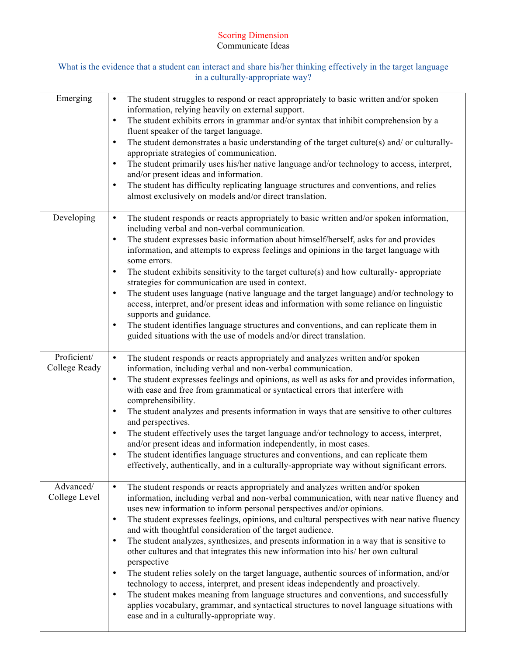## Scoring Dimension Communicate Ideas

# What is the evidence that a student can interact and share his/her thinking effectively in the target language in a culturally-appropriate way?

| Emerging                     | The student struggles to respond or react appropriately to basic written and/or spoken<br>$\bullet$<br>information, relying heavily on external support.<br>The student exhibits errors in grammar and/or syntax that inhibit comprehension by a<br>$\bullet$<br>fluent speaker of the target language.<br>The student demonstrates a basic understanding of the target culture(s) and/ or culturally-<br>$\bullet$<br>appropriate strategies of communication.<br>The student primarily uses his/her native language and/or technology to access, interpret,<br>٠<br>and/or present ideas and information.<br>The student has difficulty replicating language structures and conventions, and relies<br>$\bullet$<br>almost exclusively on models and/or direct translation.                                                                                                                                                                                                                                                                                                                             |
|------------------------------|-----------------------------------------------------------------------------------------------------------------------------------------------------------------------------------------------------------------------------------------------------------------------------------------------------------------------------------------------------------------------------------------------------------------------------------------------------------------------------------------------------------------------------------------------------------------------------------------------------------------------------------------------------------------------------------------------------------------------------------------------------------------------------------------------------------------------------------------------------------------------------------------------------------------------------------------------------------------------------------------------------------------------------------------------------------------------------------------------------------|
| Developing                   | The student responds or reacts appropriately to basic written and/or spoken information,<br>$\bullet$<br>including verbal and non-verbal communication.<br>The student expresses basic information about himself/herself, asks for and provides<br>$\bullet$<br>information, and attempts to express feelings and opinions in the target language with<br>some errors.<br>The student exhibits sensitivity to the target culture(s) and how culturally-appropriate<br>$\bullet$<br>strategies for communication are used in context.<br>The student uses language (native language and the target language) and/or technology to<br>$\bullet$<br>access, interpret, and/or present ideas and information with some reliance on linguistic<br>supports and guidance.<br>The student identifies language structures and conventions, and can replicate them in<br>$\bullet$<br>guided situations with the use of models and/or direct translation.                                                                                                                                                          |
| Proficient/<br>College Ready | The student responds or reacts appropriately and analyzes written and/or spoken<br>$\bullet$<br>information, including verbal and non-verbal communication.<br>The student expresses feelings and opinions, as well as asks for and provides information,<br>$\bullet$<br>with ease and free from grammatical or syntactical errors that interfere with<br>comprehensibility.<br>The student analyzes and presents information in ways that are sensitive to other cultures<br>$\bullet$<br>and perspectives.<br>The student effectively uses the target language and/or technology to access, interpret,<br>٠<br>and/or present ideas and information independently, in most cases.<br>The student identifies language structures and conventions, and can replicate them<br>$\bullet$<br>effectively, authentically, and in a culturally-appropriate way without significant errors.                                                                                                                                                                                                                    |
| Advanced/<br>College Level   | The student responds or reacts appropriately and analyzes written and/or spoken<br>$\bullet$<br>information, including verbal and non-verbal communication, with near native fluency and<br>uses new information to inform personal perspectives and/or opinions.<br>The student expresses feelings, opinions, and cultural perspectives with near native fluency<br>$\bullet$<br>and with thoughtful consideration of the target audience.<br>The student analyzes, synthesizes, and presents information in a way that is sensitive to<br>$\bullet$<br>other cultures and that integrates this new information into his/ her own cultural<br>perspective<br>The student relies solely on the target language, authentic sources of information, and/or<br>$\bullet$<br>technology to access, interpret, and present ideas independently and proactively.<br>The student makes meaning from language structures and conventions, and successfully<br>$\bullet$<br>applies vocabulary, grammar, and syntactical structures to novel language situations with<br>ease and in a culturally-appropriate way. |